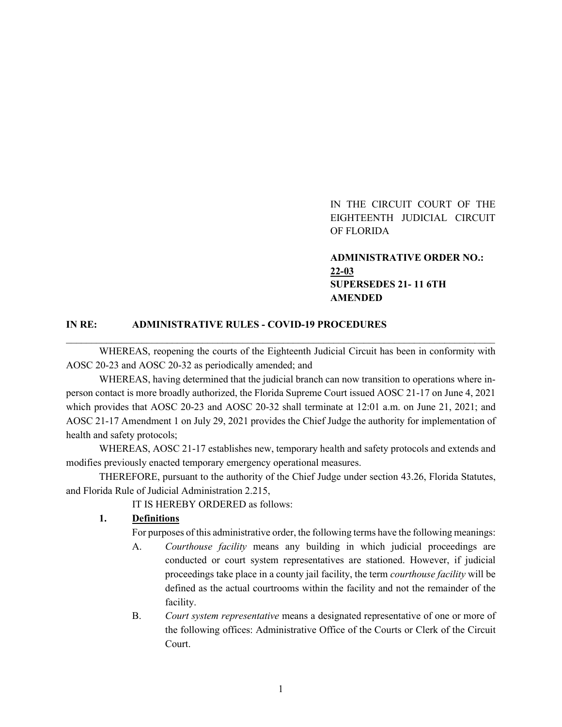IN THE CIRCUIT COURT OF THE EIGHTEENTH JUDICIAL CIRCUIT OF FLORIDA

**ADMINISTRATIVE ORDER NO.: 22-03 SUPERSEDES 21- 11 6TH AMENDED**

#### **IN RE: ADMINISTRATIVE RULES - COVID-19 PROCEDURES**

WHEREAS, reopening the courts of the Eighteenth Judicial Circuit has been in conformity with AOSC 20-23 and AOSC 20-32 as periodically amended; and

\_\_\_\_\_\_\_\_\_\_\_\_\_\_\_\_\_\_\_\_\_\_\_\_\_\_\_\_\_\_\_\_\_\_\_\_\_\_\_\_\_\_\_\_\_\_\_\_\_\_\_\_\_\_\_\_\_\_\_\_\_\_\_\_\_\_\_\_\_\_\_\_\_\_\_\_\_\_\_\_\_\_\_\_\_

WHEREAS, having determined that the judicial branch can now transition to operations where inperson contact is more broadly authorized, the Florida Supreme Court issued AOSC 21-17 on June 4, 2021 which provides that AOSC 20-23 and AOSC 20-32 shall terminate at 12:01 a.m. on June 21, 2021; and AOSC 21-17 Amendment 1 on July 29, 2021 provides the Chief Judge the authority for implementation of health and safety protocols;

WHEREAS, AOSC 21-17 establishes new, temporary health and safety protocols and extends and modifies previously enacted temporary emergency operational measures.

THEREFORE, pursuant to the authority of the Chief Judge under section 43.26, Florida Statutes, and Florida Rule of Judicial Administration 2.215,

IT IS HEREBY ORDERED as follows:

#### **1. Definitions**

For purposes of this administrative order, the following terms have the following meanings:

- A. *Courthouse facility* means any building in which judicial proceedings are conducted or court system representatives are stationed. However, if judicial proceedings take place in a county jail facility, the term *courthouse facility* will be defined as the actual courtrooms within the facility and not the remainder of the facility.
- B. *Court system representative* means a designated representative of one or more of the following offices: Administrative Office of the Courts or Clerk of the Circuit Court.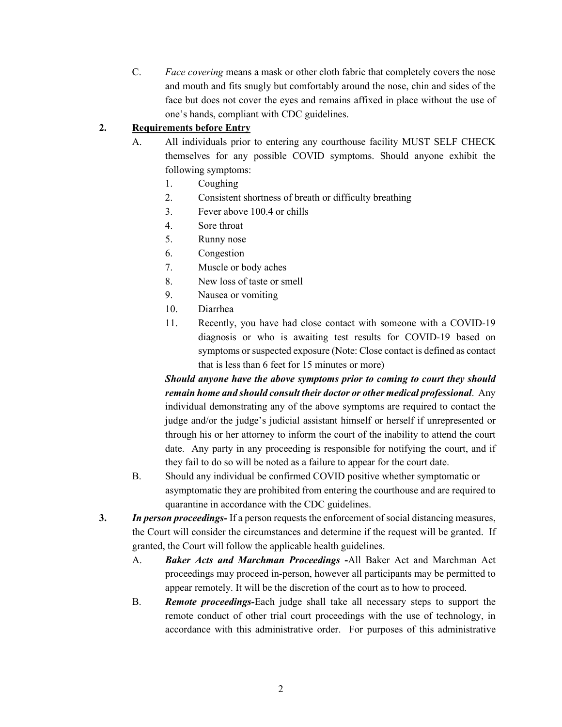C. *Face covering* means a mask or other cloth fabric that completely covers the nose and mouth and fits snugly but comfortably around the nose, chin and sides of the face but does not cover the eyes and remains affixed in place without the use of one's hands, compliant with CDC guidelines.

## **2. Requirements before Entry**

- A. All individuals prior to entering any courthouse facility MUST SELF CHECK themselves for any possible COVID symptoms. Should anyone exhibit the following symptoms:
	- 1. Coughing
	- 2. Consistent shortness of breath or difficulty breathing
	- 3. Fever above 100.4 or chills
	- 4. Sore throat
	- 5. Runny nose
	- 6. Congestion
	- 7. Muscle or body aches
	- 8. New loss of taste or smell
	- 9. Nausea or vomiting
	- 10. Diarrhea
	- 11. Recently, you have had close contact with someone with a COVID-19 diagnosis or who is awaiting test results for COVID-19 based on symptoms or suspected exposure (Note: Close contact is defined as contact that is less than 6 feet for 15 minutes or more)

*Should anyone have the above symptoms prior to coming to court they should remain home and should consult their doctor or other medical professional*. Any individual demonstrating any of the above symptoms are required to contact the judge and/or the judge's judicial assistant himself or herself if unrepresented or through his or her attorney to inform the court of the inability to attend the court date. Any party in any proceeding is responsible for notifying the court, and if they fail to do so will be noted as a failure to appear for the court date.

- B. Should any individual be confirmed COVID positive whether symptomatic or asymptomatic they are prohibited from entering the courthouse and are required to quarantine in accordance with the CDC guidelines.
- **3.** *In person proceedings-* If a person requests the enforcement of social distancing measures, the Court will consider the circumstances and determine if the request will be granted. If granted, the Court will follow the applicable health guidelines.
	- A. *Baker Acts and Marchman Proceedings* **-**All Baker Act and Marchman Act proceedings may proceed in-person, however all participants may be permitted to appear remotely. It will be the discretion of the court as to how to proceed.
	- B. *Remote proceedings-*Each judge shall take all necessary steps to support the remote conduct of other trial court proceedings with the use of technology, in accordance with this administrative order. For purposes of this administrative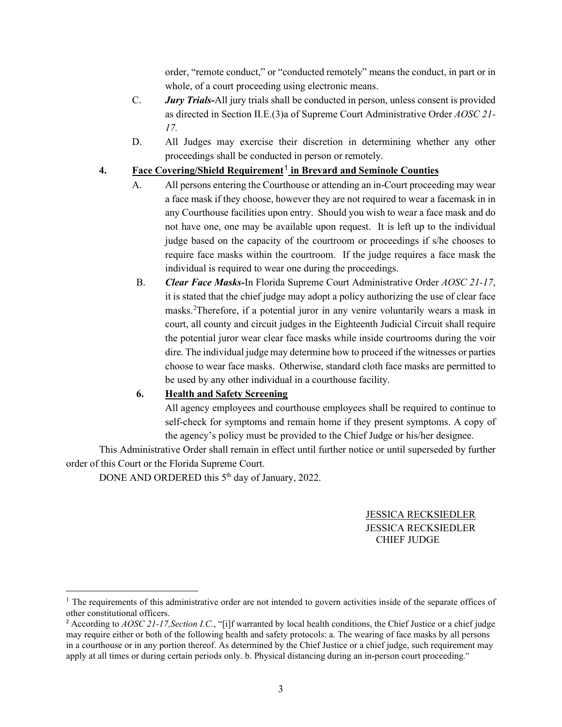order, "remote conduct," or "conducted remotely" means the conduct, in part or in whole, of a court proceeding using electronic means.

- C. *Jury Trials-*All jury trials shall be conducted in person, unless consent is provided as directed in Section II.E.(3)a of Supreme Court Administrative Order *AOSC 21- 17.*
- D. All Judges may exercise their discretion in determining whether any other proceedings shall be conducted in person or remotely.

### **4. Face Covering/Shield Requirement**[1](#page-2-0) **in Brevard and Seminole Counties**

- A. All persons entering the Courthouse or attending an in-Court proceeding may wear a face mask if they choose, however they are not required to wear a facemask in in any Courthouse facilities upon entry. Should you wish to wear a face mask and do not have one, one may be available upon request. It is left up to the individual judge based on the capacity of the courtroom or proceedings if s/he chooses to require face masks within the courtroom. If the judge requires a face mask the individual is required to wear one during the proceedings.
- B. *Clear Face Masks-*In Florida Supreme Court Administrative Order *AOSC 21-17*, it is stated that the chief judge may adopt a policy authorizing the use of clear face masks.[2](#page-2-1) Therefore, if a potential juror in any venire voluntarily wears a mask in court, all county and circuit judges in the Eighteenth Judicial Circuit shall require the potential juror wear clear face masks while inside courtrooms during the voir dire. The individual judge may determine how to proceed if the witnesses or parties choose to wear face masks. Otherwise, standard cloth face masks are permitted to be used by any other individual in a courthouse facility.

# **6. Health and Safety Screening**

All agency employees and courthouse employees shall be required to continue to self-check for symptoms and remain home if they present symptoms. A copy of the agency's policy must be provided to the Chief Judge or his/her designee.

This Administrative Order shall remain in effect until further notice or until superseded by further order of this Court or the Florida Supreme Court.

DONE AND ORDERED this 5<sup>th</sup> day of January, 2022.

JESSICA RECKSIEDLER JESSICA RECKSIEDLER CHIEF JUDGE

<span id="page-2-0"></span> $<sup>1</sup>$  The requirements of this administrative order are not intended to govern activities inside of the separate offices of</sup> other constitutional officers.

<span id="page-2-1"></span><sup>2</sup> According to *AOSC 21-17,Section I.C.*, "[i]f warranted by local health conditions, the Chief Justice or a chief judge may require either or both of the following health and safety protocols: a. The wearing of face masks by all persons in a courthouse or in any portion thereof. As determined by the Chief Justice or a chief judge, such requirement may apply at all times or during certain periods only. b. Physical distancing during an in-person court proceeding."